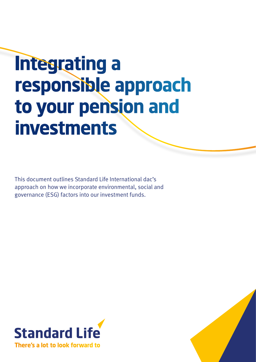# **Integrating a responsible approach to your pension and investments**

This document outlines Standard Life International dac's approach on how we incorporate environmental, social and governance (ESG) factors into our investment funds.



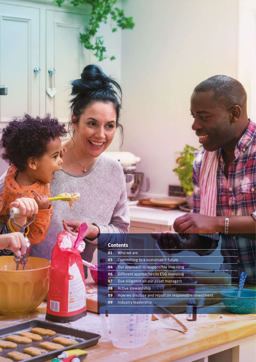### **Contents**

 $\mathbb{A}$ 

m

| 01 | Who we are                                           |
|----|------------------------------------------------------|
| 03 | Committing to a sustainable future                   |
| 04 | Our approach to responsible investing                |
| 06 | Different approaches to ESG investing                |
| 07 | Due diligence on our asset managers                  |
| 08 | Active stewardship                                   |
| 09 | How we disclose and report on responsible investment |
| 09 | Industry leadership                                  |
|    |                                                      |

**WIFICA**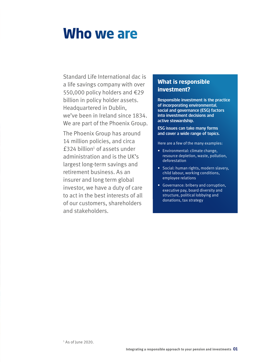### **Who we are**

Standard Life International dac is a life savings company with over 550,000 policy holders and €29 billion in policy holder assets. Headquartered in Dublin, we've been in Ireland since 1834. We are part of the Phoenix Group.

The Phoenix Group has around 14 million policies, and circa  $£324$  billion<sup>1</sup> of assets under administration and is the UK's largest long-term savings and retirement business. As an insurer and long term global investor, we have a duty of care to act in the best interests of all of our customers, shareholders and stakeholders.

### **What is responsible investment?**

Responsible investment is the practice of incorporating environmental, social and governance (ESG) factors into investment decisions and active stewardship.

### ESG issues can take many forms and cover a wide range of topics.

Here are a few of the many examples:

- Environmental: climate change, resource depletion, waste, pollution, deforestation
- Social: human rights, modern slavery, child labour, working conditions, employee relations
- Governance: bribery and corruption, executive pay, board diversity and structure, political lobbying and donations, tax strategy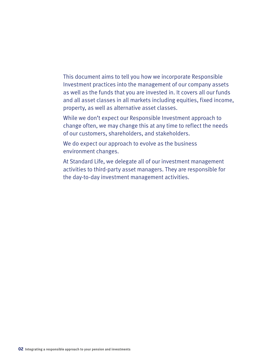### This document aims to tell you how we incorporate Responsible Investment practices into the management of our company assets as well as the funds that you are invested in. It covers all our funds and all asset classes in all markets including equities, fixed income, property, as well as alternative asset classes.

While we don't expect our Responsible Investment approach to change often, we may change this at any time to reflect the needs of our customers, shareholders, and stakeholders.

We do expect our approach to evolve as the business environment changes.

At Standard Life, we delegate all of our investment management activities to third-party asset managers. They are responsible for the day-to-day investment management activities.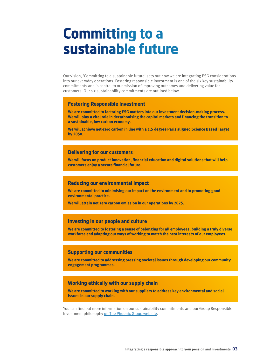### **Committing to a sustainable future**

Our vision, 'Committing to a sustainable future' sets out how we are integrating ESG considerations into our everyday operations. Fostering responsible investment is one of the six key sustainability commitments and is central to our mission of improving outcomes and delivering value for customers. Our six sustainability commitments are outlined below.

### **Fostering Responsible Investment**

**We are committed to factoring ESG matters into our investment decision-making process. We will play a vital role in decarbonising the capital markets and financing the transition to a sustainable, low carbon economy.** 

**We will achieve net-zero carbon in line with a 1.5 degree Paris aligned Science Based Target by 2050.**

### **Delivering for our customers**

**We will focus on product innovation, financial education and digital solutions that will help customers enjoy a secure financial future.** 

### **Reducing our environmental impact**

**We are committed to minimising our impact on the environment and to promoting good environmental practice.** 

**We will attain net zero carbon emission in our operations by 2025.**

### **Investing in our people and culture**

**We are committed to fostering a sense of belonging for all employees, building a truly diverse workforce and adapting our ways of working to match the best interests of our employees.** 

### **Supporting our communities**

**We are committed to addressing pressing societal issues through developing our community engagement programmes.** 

### **Working ethically with our supply chain**

**We are committed to working with our suppliers to address key environmental and social issues in our supply chain.** 

You can find out more information on our sustainability commitments and our Group Responsible Investment philosophy on The Phoenix Group [website.](https://www.thephoenixgroup.com/investor-relations/reports-and-presentations/sustainability-report-download.aspx)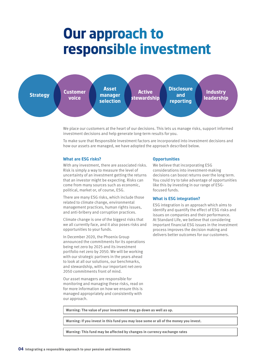# **Our approach to responsible investment**



We place our customers at the heart of our decisions. This lets us manage risks, support informed investment decisions and help generate long-term results for you.

To make sure that Responsible Investment factors are incorporated into investment decisions and how our assets are managed, we have adopted the approach described below.

### **What are ESG risks?**

With any investment, there are associated risks. Risk is simply a way to measure the level of uncertainty of an investment getting the returns that an investor might be expecting. Risks can come from many sources such as economic, political, market or, of course, ESG.

There are many ESG risks, which include those related to climate change, environmental management practices, human rights issues, and anti-bribery and corruption practices.

Climate change is one of the biggest risks that we all currently face, and it also poses risks and opportunities to your funds.

In December 2020, the Phoenix Group announced the commitments for its operations being net zero by 2025 and its investment portfolio net zero by 2050. We will be working with our strategic partners in the years ahead to look at all our solutions, our benchmarks, and stewardship, with our important net-zero 2050 commitments front of mind.

Our asset managers are responsible for monitoring and managing these risks, read on for more information on how we ensure this is managed appropriately and consistently with our approach.

### **Opportunities**

We believe that incorporating ESG considerations into investment-making decisions can boost returns over the long term. You could try to take advantage of opportunities like this by investing in our range of ESGfocused funds.

### **What is ESG integration?**

ESG integration is an approach which aims to identify and quantify the effect of ESG risks and issues on companies and their performance. At Standard Life, we believe that considering important financial ESG issues in the investment process improves the decision making and delivers better outcomes for our customers.

**Warning: The value of your investment may go down as well as up.**

**Warning: If you invest in this fund you may lose some or all of the money you invest.**

**Warning: This fund may be affected by changes in currency exchange rates**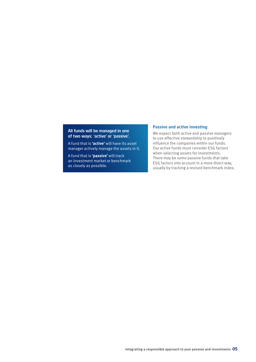### All funds will be managed in one of two ways: 'active' or 'passive'.

A fund that is **'active'** will have its asset manager actively manage the assets in it.

A fund that is **'passive'** will track an investment market or benchmark as closely as possible.

### **Passive and active investing**

We expect both active and passive managers to use effective stewardship to positively influence the companies within our funds. Our active funds must consider ESG factors when selecting assets for investments. There may be some passive funds that take ESG factors into account in a more direct way, usually by tracking a revised benchmark index.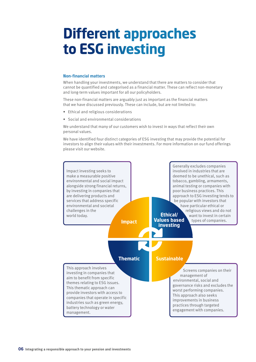# **Different approaches to ESG investing**

#### **Non-financial matters**

When handling your investments, we understand that there are matters to consider that cannot be quantified and categorised as a financial matter. These can reflect non-monetary and long-term values important for all our policyholders.

These non-financial matters are arguably just as important as the financial matters that we have discussed previously. These can include, but are not limited to:

- Ethical and religious considerations
- Social and environmental considerations

We understand that many of our customers wish to invest in ways that reflect their own personal values.

We have identified four distinct categories of ESG investing that may provide the potential for investors to align their values with their investments. For more information on our fund offerings please visit our [website](https://www.standardlife.co.uk/investments/guides/sustainable-investing?redirectfrom=oldsite/).

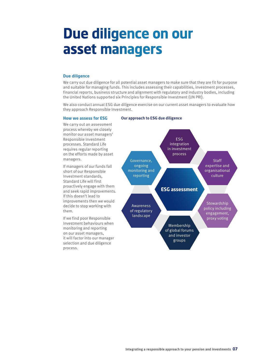# **Due diligence on our asset managers**

### **Due diligence**

We carry out due diligence for all potential asset managers to make sure that they are fit for purpose and suitable for managing funds. This includes assessing their capabilities, investment processes, financial reports, business structure and alignment with regulatory and industry bodies, including the United Nations supported six Principles for Responsible Investment (UN PRI).

We also conduct annual ESG due diligence exercise on our current asset managers to evaluate how they approach Responsible Investment.

### **How we assess for ESG**

We carry out an assessment process whereby we closely monitor our asset managers' Responsible Investment processes. Standard Life requires regular reporting on the efforts made by asset managers.

If managers of our funds fall short of our Responsible Investment standards, Standard Life will first proactively engage with them and seek rapid improvements. If this doesn't lead to improvements then we would decide to stop working with them.

If we find poor Responsible Investment behaviours when monitoring and reporting on our asset managers, it will factor into our manager selection and due diligence process.

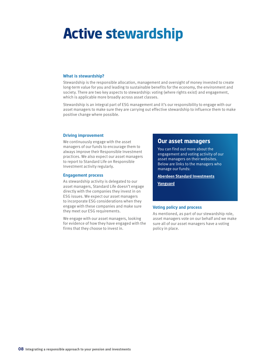# **Active stewardship**

### **What is stewardship?**

Stewardship is the responsible allocation, management and oversight of money invested to create long-term value for you and leading to sustainable benefits for the economy, the environment and society. There are two key aspects to stewardship: voting (where rights exist) and engagement, which is applicable more broadly across asset classes.

Stewardship is an integral part of ESG management and it's our responsibility to engage with our asset managers to make sure they are carrying out effective stewardship to influence them to make positive change where possible.

#### **Driving improvement**

We continuously engage with the asset managers of our funds to encourage them to always improve their Responsible Investment practices. We also expect our asset managers to report to Standard Life on Responsible Investment activity regularly.

#### **Engagement process**

As stewardship activity is delegated to our asset managers, Standard Life doesn't engage directly with the companies they invest in on ESG issues. We expect our asset managers to incorporate ESG considerations when they engage with these companies and make sure they meet our ESG requirements.

We engage with our asset managers, looking for evidence of how they have engaged with the firms that they choose to invest in.

### **Our asset managers**

You can find out more about the engagement and voting activity of our asset managers on their websites. Below are links to the managers who manage our funds:

**[Aberdeen Standard](https://www.aberdeenstandard.com/docs?editionId=bfcb3d9c-0a6e-4e14-8eb2-26ee56d3a45d) Investments**

**[Vanguard](https://about.vanguard.com/investment-stewardship/)**

#### **Voting policy and process**

As mentioned, as part of our stewardship role, asset managers vote on our behalf and we make sure all of our asset managers have a voting policy in place.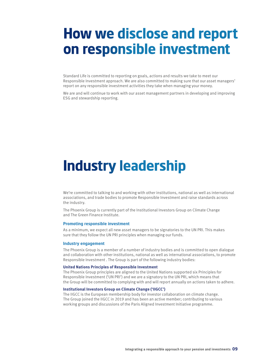### **How we disclose and report on responsible investment**

Standard Life is committed to reporting on goals, actions and results we take to meet our Responsible Investment approach. We are also committed to making sure that our asset managers' report on any responsible investment activities they take when managing your money.

We are and will continue to work with our asset management partners in developing and improving ESG and stewardship reporting.

### **Industry leadership**

We're committed to talking to and working with other institutions, national as well as international associations, and trade bodies to promote Responsible Investment and raise standards across the industry.

The Phoenix Group is currently part of the Institutional Investors Group on Climate Change and The Green Finance Institute.

#### **Promoting responsible investment**

As a minimum, we expect all new asset managers to be signatories to the UN PRI. This makes sure that they follow the UN PRI principles when managing our funds.

#### **Industry engagement**

The Phoenix Group is a member of a number of industry bodies and is committed to open dialogue and collaboration with other institutions, national as well as international associations, to promote Responsible Investment . The Group is part of the following industry bodies:

#### **United Nations Principles of Responsible Investment**

The Phoenix Group principles are aligned to the United Nations supported six Principles for Responsible Investment ('UN PRI') and we are a signatory to the UN PRI, which means that the Group will be committed to complying with and will report annually on actions taken to adhere.

### **Institutional Investors Group on Climate Change ('IIGCC')**

The IIGCC is the European membership body for investor collaboration on climate change. The Group joined the IIGCC in 2019 and has been an active member; contributing to various working groups and discussions of the Paris Aligned Investment Initiative programme.